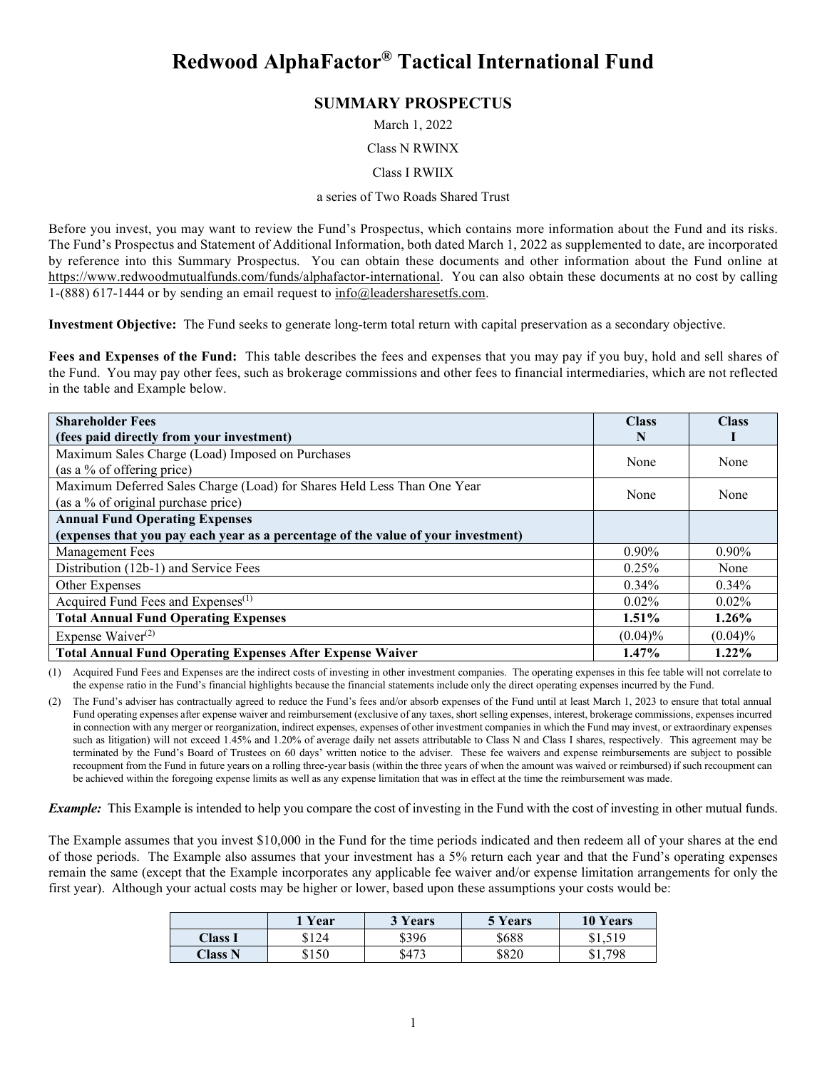# **Redwood AlphaFactor® Tactical International Fund**

## **SUMMARY PROSPECTUS**

March 1, 2022

#### Class N RWINX

Class I RWIIX

#### a series of Two Roads Shared Trust

Before you invest, you may want to review the Fund's Prospectus, which contains more information about the Fund and its risks. The Fund's Prospectus and Statement of Additional Information, both dated March 1, 2022 as supplemented to date, are incorporated by reference into this Summary Prospectus. You can obtain these documents and other information about the Fund online at [https://www.redwoodmutualfunds.com/funds/alphafactor-international.](https://www.redwoodmutualfunds.com/funds/alphafactor-international) You can also obtain these documents at no cost by calling 1-(888) 617-1444 or by sending an email request to  $info@$  leadersharesetfs.com.

**Investment Objective:** The Fund seeks to generate long-term total return with capital preservation as a secondary objective.

**Fees and Expenses of the Fund:** This table describes the fees and expenses that you may pay if you buy, hold and sell shares of the Fund. You may pay other fees, such as brokerage commissions and other fees to financial intermediaries, which are not reflected in the table and Example below.

| <b>Shareholder Fees</b>                                                           | <b>Class</b> | <b>Class</b> |
|-----------------------------------------------------------------------------------|--------------|--------------|
| (fees paid directly from your investment)                                         | N            |              |
| Maximum Sales Charge (Load) Imposed on Purchases                                  | None         | None         |
| (as a % of offering price)                                                        |              |              |
| Maximum Deferred Sales Charge (Load) for Shares Held Less Than One Year           | None         | None         |
| (as a % of original purchase price)                                               |              |              |
| <b>Annual Fund Operating Expenses</b>                                             |              |              |
| (expenses that you pay each year as a percentage of the value of your investment) |              |              |
| Management Fees                                                                   | $0.90\%$     | $0.90\%$     |
| Distribution (12b-1) and Service Fees                                             | 0.25%        | None         |
| Other Expenses                                                                    | $0.34\%$     | $0.34\%$     |
| Acquired Fund Fees and Expenses <sup>(1)</sup>                                    | $0.02\%$     | $0.02\%$     |
| <b>Total Annual Fund Operating Expenses</b>                                       | $1.51\%$     | $1.26\%$     |
| Expense Waiver <sup>(2)</sup>                                                     | (0.04)%      | $(0.04)\%$   |
| <b>Total Annual Fund Operating Expenses After Expense Waiver</b>                  | 1.47%        | $1.22\%$     |

(1) Acquired Fund Fees and Expenses are the indirect costs of investing in other investment companies. The operating expenses in this fee table will not correlate to the expense ratio in the Fund's financial highlights because the financial statements include only the direct operating expenses incurred by the Fund.

(2) The Fund's adviser has contractually agreed to reduce the Fund's fees and/or absorb expenses of the Fund until at least March 1, 2023 to ensure that total annual Fund operating expenses after expense waiver and reimbursement (exclusive of any taxes, short selling expenses, interest, brokerage commissions, expenses incurred in connection with any merger or reorganization, indirect expenses, expenses of other investment companies in which the Fund may invest, or extraordinary expenses such as litigation) will not exceed 1.45% and 1.20% of average daily net assets attributable to Class N and Class I shares, respectively. This agreement may be terminated by the Fund's Board of Trustees on 60 days' written notice to the adviser. These fee waivers and expense reimbursements are subject to possible recoupment from the Fund in future years on a rolling three-year basis (within the three years of when the amount was waived or reimbursed) if such recoupment can be achieved within the foregoing expense limits as well as any expense limitation that was in effect at the time the reimbursement was made.

*Example:* This Example is intended to help you compare the cost of investing in the Fund with the cost of investing in other mutual funds.

The Example assumes that you invest \$10,000 in the Fund for the time periods indicated and then redeem all of your shares at the end of those periods. The Example also assumes that your investment has a 5% return each year and that the Fund's operating expenses remain the same (except that the Example incorporates any applicable fee waiver and/or expense limitation arrangements for only the first year). Although your actual costs may be higher or lower, based upon these assumptions your costs would be:

|                | 1 Year | 3 Years | 5 Years | 10 Years |
|----------------|--------|---------|---------|----------|
| <b>Class 1</b> | \$124  | \$396   | \$688   | \$1.519  |
| Class N        | \$150  | \$473   | \$820   | .798     |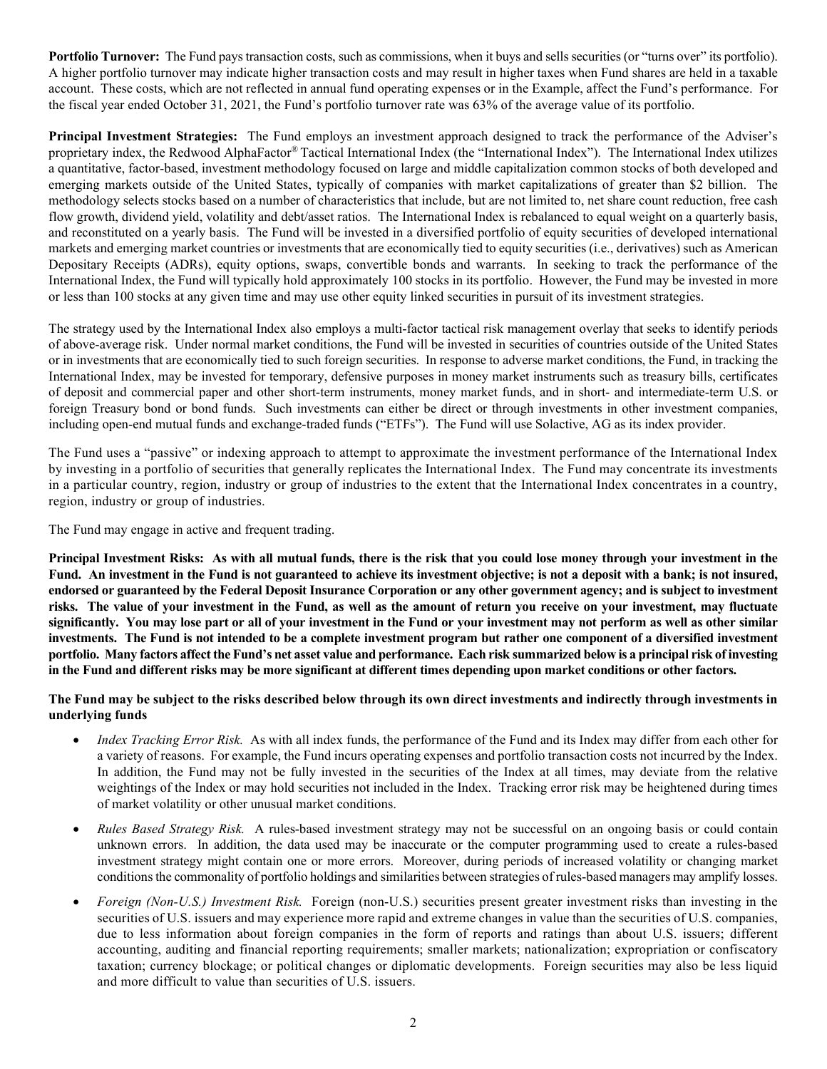**Portfolio Turnover:** The Fund pays transaction costs, such as commissions, when it buys and sells securities (or "turns over" its portfolio). A higher portfolio turnover may indicate higher transaction costs and may result in higher taxes when Fund shares are held in a taxable account. These costs, which are not reflected in annual fund operating expenses or in the Example, affect the Fund's performance. For the fiscal year ended October 31, 2021, the Fund's portfolio turnover rate was 63% of the average value of its portfolio.

**Principal Investment Strategies:** The Fund employs an investment approach designed to track the performance of the Adviser's proprietary index, the Redwood AlphaFactor® Tactical International Index (the "International Index"). The International Index utilizes a quantitative, factor-based, investment methodology focused on large and middle capitalization common stocks of both developed and emerging markets outside of the United States, typically of companies with market capitalizations of greater than \$2 billion. The methodology selects stocks based on a number of characteristics that include, but are not limited to, net share count reduction, free cash flow growth, dividend yield, volatility and debt/asset ratios. The International Index is rebalanced to equal weight on a quarterly basis, and reconstituted on a yearly basis. The Fund will be invested in a diversified portfolio of equity securities of developed international markets and emerging market countries or investments that are economically tied to equity securities (i.e., derivatives) such as American Depositary Receipts (ADRs), equity options, swaps, convertible bonds and warrants. In seeking to track the performance of the International Index, the Fund will typically hold approximately 100 stocks in its portfolio. However, the Fund may be invested in more or less than 100 stocks at any given time and may use other equity linked securities in pursuit of its investment strategies.

The strategy used by the International Index also employs a multi-factor tactical risk management overlay that seeks to identify periods of above-average risk. Under normal market conditions, the Fund will be invested in securities of countries outside of the United States or in investments that are economically tied to such foreign securities. In response to adverse market conditions, the Fund, in tracking the International Index, may be invested for temporary, defensive purposes in money market instruments such as treasury bills, certificates of deposit and commercial paper and other short-term instruments, money market funds, and in short- and intermediate-term U.S. or foreign Treasury bond or bond funds. Such investments can either be direct or through investments in other investment companies, including open-end mutual funds and exchange-traded funds ("ETFs"). The Fund will use Solactive, AG as its index provider.

The Fund uses a "passive" or indexing approach to attempt to approximate the investment performance of the International Index by investing in a portfolio of securities that generally replicates the International Index. The Fund may concentrate its investments in a particular country, region, industry or group of industries to the extent that the International Index concentrates in a country, region, industry or group of industries.

The Fund may engage in active and frequent trading.

**Principal Investment Risks: As with all mutual funds, there is the risk that you could lose money through your investment in the Fund. An investment in the Fund is not guaranteed to achieve its investment objective; is not a deposit with a bank; is not insured, endorsed or guaranteed by the Federal Deposit Insurance Corporation or any other government agency; and is subject to investment risks. The value of your investment in the Fund, as well as the amount of return you receive on your investment, may fluctuate significantly. You may lose part or all of your investment in the Fund or your investment may not perform as well as other similar investments. The Fund is not intended to be a complete investment program but rather one component of a diversified investment portfolio. Many factors affect the Fund's net asset value and performance. Each risk summarized below is a principal risk of investing in the Fund and different risks may be more significant at different times depending upon market conditions or other factors.**

## **The Fund may be subject to the risks described below through its own direct investments and indirectly through investments in underlying funds**

- *Index Tracking Error Risk.* As with all index funds, the performance of the Fund and its Index may differ from each other for a variety of reasons. For example, the Fund incurs operating expenses and portfolio transaction costs not incurred by the Index. In addition, the Fund may not be fully invested in the securities of the Index at all times, may deviate from the relative weightings of the Index or may hold securities not included in the Index. Tracking error risk may be heightened during times of market volatility or other unusual market conditions.
- *Rules Based Strategy Risk.* A rules-based investment strategy may not be successful on an ongoing basis or could contain unknown errors. In addition, the data used may be inaccurate or the computer programming used to create a rules-based investment strategy might contain one or more errors. Moreover, during periods of increased volatility or changing market conditions the commonality of portfolio holdings and similarities between strategies of rules-based managers may amplify losses.
- *Foreign (Non-U.S.) Investment Risk.* Foreign (non-U.S.) securities present greater investment risks than investing in the securities of U.S. issuers and may experience more rapid and extreme changes in value than the securities of U.S. companies, due to less information about foreign companies in the form of reports and ratings than about U.S. issuers; different accounting, auditing and financial reporting requirements; smaller markets; nationalization; expropriation or confiscatory taxation; currency blockage; or political changes or diplomatic developments. Foreign securities may also be less liquid and more difficult to value than securities of U.S. issuers.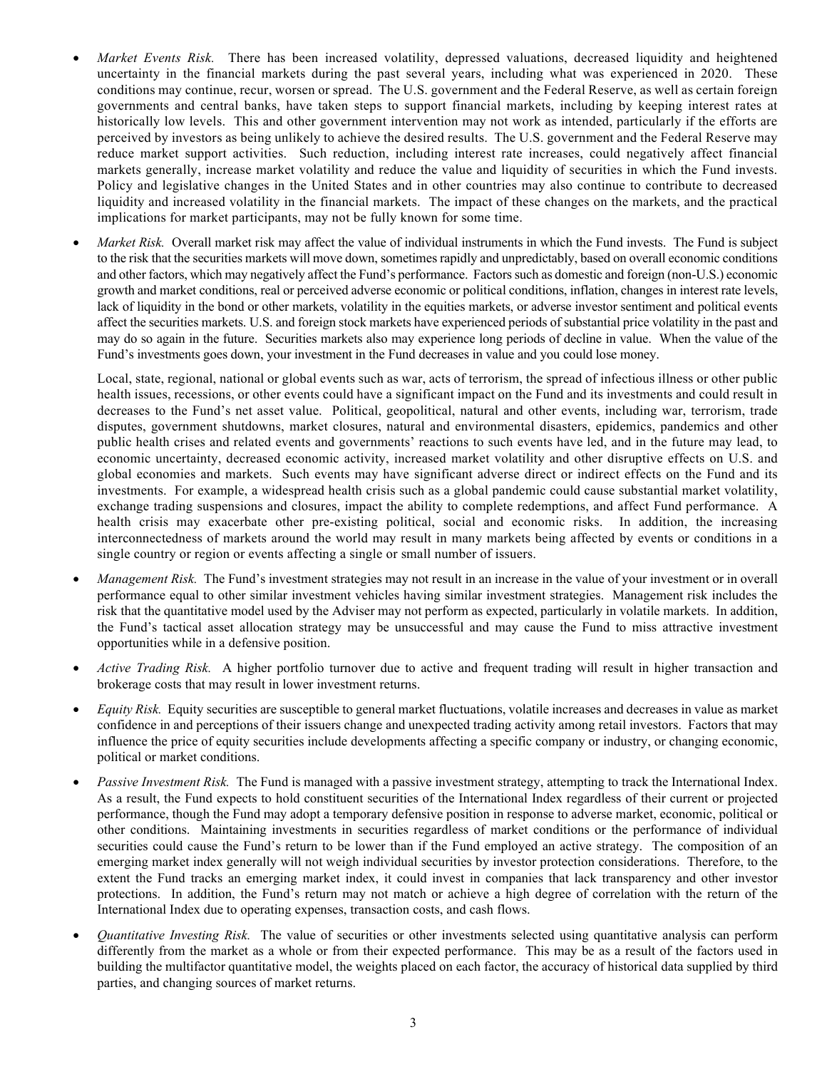- *Market Events Risk.* There has been increased volatility, depressed valuations, decreased liquidity and heightened uncertainty in the financial markets during the past several years, including what was experienced in 2020. These conditions may continue, recur, worsen or spread. The U.S. government and the Federal Reserve, as well as certain foreign governments and central banks, have taken steps to support financial markets, including by keeping interest rates at historically low levels. This and other government intervention may not work as intended, particularly if the efforts are perceived by investors as being unlikely to achieve the desired results. The U.S. government and the Federal Reserve may reduce market support activities. Such reduction, including interest rate increases, could negatively affect financial markets generally, increase market volatility and reduce the value and liquidity of securities in which the Fund invests. Policy and legislative changes in the United States and in other countries may also continue to contribute to decreased liquidity and increased volatility in the financial markets. The impact of these changes on the markets, and the practical implications for market participants, may not be fully known for some time.
- *Market Risk.* Overall market risk may affect the value of individual instruments in which the Fund invests. The Fund is subject to the risk that the securities markets will move down, sometimes rapidly and unpredictably, based on overall economic conditions and other factors, which may negatively affect the Fund's performance. Factors such as domestic and foreign (non-U.S.) economic growth and market conditions, real or perceived adverse economic or political conditions, inflation, changes in interest rate levels, lack of liquidity in the bond or other markets, volatility in the equities markets, or adverse investor sentiment and political events affect the securities markets. U.S. and foreign stock markets have experienced periods of substantial price volatility in the past and may do so again in the future. Securities markets also may experience long periods of decline in value. When the value of the Fund's investments goes down, your investment in the Fund decreases in value and you could lose money.

Local, state, regional, national or global events such as war, acts of terrorism, the spread of infectious illness or other public health issues, recessions, or other events could have a significant impact on the Fund and its investments and could result in decreases to the Fund's net asset value. Political, geopolitical, natural and other events, including war, terrorism, trade disputes, government shutdowns, market closures, natural and environmental disasters, epidemics, pandemics and other public health crises and related events and governments' reactions to such events have led, and in the future may lead, to economic uncertainty, decreased economic activity, increased market volatility and other disruptive effects on U.S. and global economies and markets. Such events may have significant adverse direct or indirect effects on the Fund and its investments. For example, a widespread health crisis such as a global pandemic could cause substantial market volatility, exchange trading suspensions and closures, impact the ability to complete redemptions, and affect Fund performance. A health crisis may exacerbate other pre-existing political, social and economic risks. In addition, the increasing interconnectedness of markets around the world may result in many markets being affected by events or conditions in a single country or region or events affecting a single or small number of issuers.

- *Management Risk.* The Fund's investment strategies may not result in an increase in the value of your investment or in overall performance equal to other similar investment vehicles having similar investment strategies. Management risk includes the risk that the quantitative model used by the Adviser may not perform as expected, particularly in volatile markets. In addition, the Fund's tactical asset allocation strategy may be unsuccessful and may cause the Fund to miss attractive investment opportunities while in a defensive position.
- *Active Trading Risk.* A higher portfolio turnover due to active and frequent trading will result in higher transaction and brokerage costs that may result in lower investment returns.
- *Equity Risk.* Equity securities are susceptible to general market fluctuations, volatile increases and decreases in value as market confidence in and perceptions of their issuers change and unexpected trading activity among retail investors. Factors that may influence the price of equity securities include developments affecting a specific company or industry, or changing economic, political or market conditions.
- *Passive Investment Risk.* The Fund is managed with a passive investment strategy, attempting to track the International Index. As a result, the Fund expects to hold constituent securities of the International Index regardless of their current or projected performance, though the Fund may adopt a temporary defensive position in response to adverse market, economic, political or other conditions. Maintaining investments in securities regardless of market conditions or the performance of individual securities could cause the Fund's return to be lower than if the Fund employed an active strategy. The composition of an emerging market index generally will not weigh individual securities by investor protection considerations. Therefore, to the extent the Fund tracks an emerging market index, it could invest in companies that lack transparency and other investor protections. In addition, the Fund's return may not match or achieve a high degree of correlation with the return of the International Index due to operating expenses, transaction costs, and cash flows.
- *Quantitative Investing Risk.* The value of securities or other investments selected using quantitative analysis can perform differently from the market as a whole or from their expected performance. This may be as a result of the factors used in building the multifactor quantitative model, the weights placed on each factor, the accuracy of historical data supplied by third parties, and changing sources of market returns.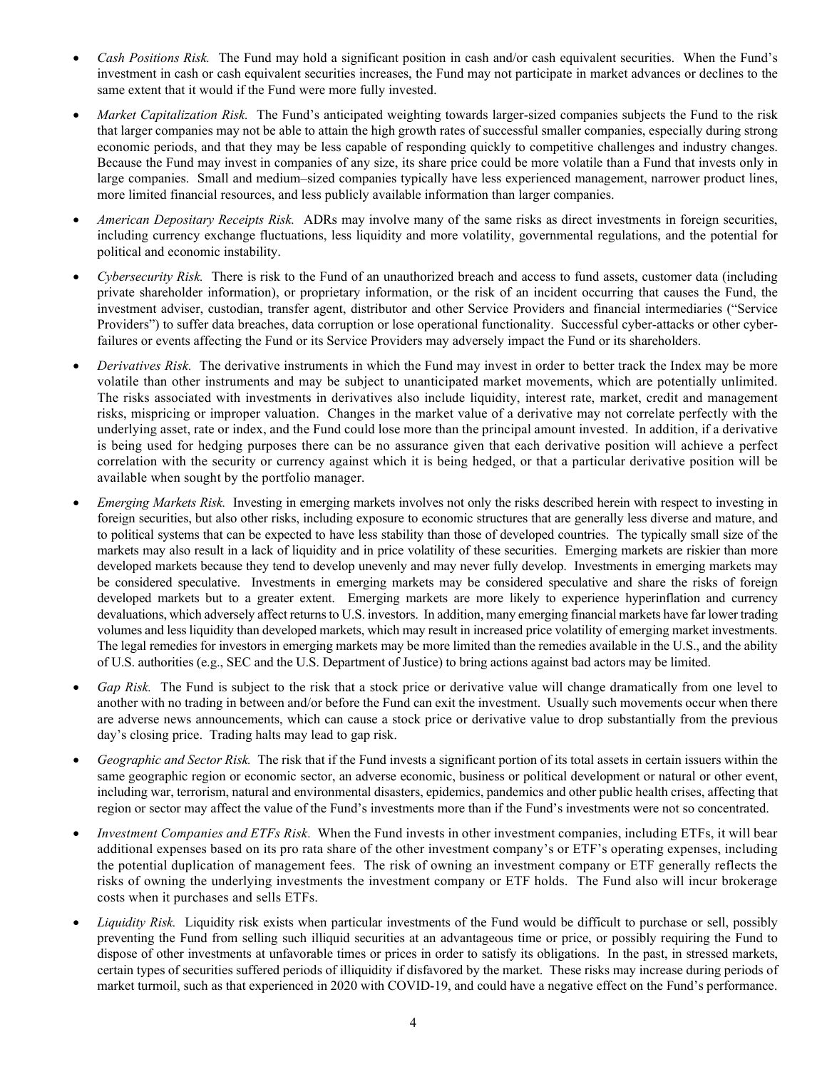- *Cash Positions Risk.* The Fund may hold a significant position in cash and/or cash equivalent securities. When the Fund's investment in cash or cash equivalent securities increases, the Fund may not participate in market advances or declines to the same extent that it would if the Fund were more fully invested.
- *Market Capitalization Risk.* The Fund's anticipated weighting towards larger-sized companies subjects the Fund to the risk that larger companies may not be able to attain the high growth rates of successful smaller companies, especially during strong economic periods, and that they may be less capable of responding quickly to competitive challenges and industry changes. Because the Fund may invest in companies of any size, its share price could be more volatile than a Fund that invests only in large companies. Small and medium–sized companies typically have less experienced management, narrower product lines, more limited financial resources, and less publicly available information than larger companies.
- *American Depositary Receipts Risk.* ADRs may involve many of the same risks as direct investments in foreign securities, including currency exchange fluctuations, less liquidity and more volatility, governmental regulations, and the potential for political and economic instability.
- *Cybersecurity Risk.* There is risk to the Fund of an unauthorized breach and access to fund assets, customer data (including private shareholder information), or proprietary information, or the risk of an incident occurring that causes the Fund, the investment adviser, custodian, transfer agent, distributor and other Service Providers and financial intermediaries ("Service Providers") to suffer data breaches, data corruption or lose operational functionality. Successful cyber-attacks or other cyberfailures or events affecting the Fund or its Service Providers may adversely impact the Fund or its shareholders.
- *Derivatives Risk.* The derivative instruments in which the Fund may invest in order to better track the Index may be more volatile than other instruments and may be subject to unanticipated market movements, which are potentially unlimited. The risks associated with investments in derivatives also include liquidity, interest rate, market, credit and management risks, mispricing or improper valuation. Changes in the market value of a derivative may not correlate perfectly with the underlying asset, rate or index, and the Fund could lose more than the principal amount invested. In addition, if a derivative is being used for hedging purposes there can be no assurance given that each derivative position will achieve a perfect correlation with the security or currency against which it is being hedged, or that a particular derivative position will be available when sought by the portfolio manager.
- *Emerging Markets Risk.* Investing in emerging markets involves not only the risks described herein with respect to investing in foreign securities, but also other risks, including exposure to economic structures that are generally less diverse and mature, and to political systems that can be expected to have less stability than those of developed countries. The typically small size of the markets may also result in a lack of liquidity and in price volatility of these securities. Emerging markets are riskier than more developed markets because they tend to develop unevenly and may never fully develop. Investments in emerging markets may be considered speculative. Investments in emerging markets may be considered speculative and share the risks of foreign developed markets but to a greater extent. Emerging markets are more likely to experience hyperinflation and currency devaluations, which adversely affect returns to U.S. investors. In addition, many emerging financial markets have far lower trading volumes and less liquidity than developed markets, which may result in increased price volatility of emerging market investments. The legal remedies for investors in emerging markets may be more limited than the remedies available in the U.S., and the ability of U.S. authorities (e.g., SEC and the U.S. Department of Justice) to bring actions against bad actors may be limited.
- *Gap Risk.* The Fund is subject to the risk that a stock price or derivative value will change dramatically from one level to another with no trading in between and/or before the Fund can exit the investment. Usually such movements occur when there are adverse news announcements, which can cause a stock price or derivative value to drop substantially from the previous day's closing price. Trading halts may lead to gap risk.
- *Geographic and Sector Risk.* The risk that if the Fund invests a significant portion of its total assets in certain issuers within the same geographic region or economic sector, an adverse economic, business or political development or natural or other event, including war, terrorism, natural and environmental disasters, epidemics, pandemics and other public health crises, affecting that region or sector may affect the value of the Fund's investments more than if the Fund's investments were not so concentrated.
- *Investment Companies and ETFs Risk.* When the Fund invests in other investment companies, including ETFs, it will bear additional expenses based on its pro rata share of the other investment company's or ETF's operating expenses, including the potential duplication of management fees. The risk of owning an investment company or ETF generally reflects the risks of owning the underlying investments the investment company or ETF holds. The Fund also will incur brokerage costs when it purchases and sells ETFs.
- *Liquidity Risk.* Liquidity risk exists when particular investments of the Fund would be difficult to purchase or sell, possibly preventing the Fund from selling such illiquid securities at an advantageous time or price, or possibly requiring the Fund to dispose of other investments at unfavorable times or prices in order to satisfy its obligations. In the past, in stressed markets, certain types of securities suffered periods of illiquidity if disfavored by the market. These risks may increase during periods of market turmoil, such as that experienced in 2020 with COVID-19, and could have a negative effect on the Fund's performance.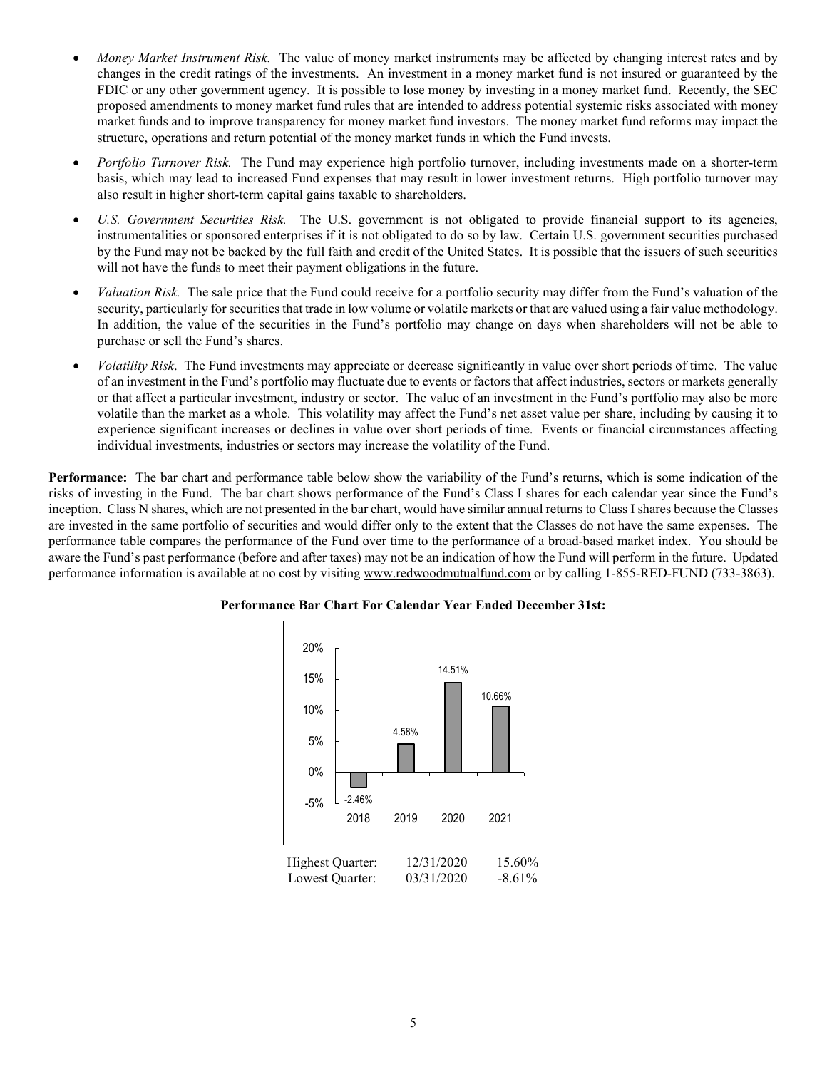- *Money Market Instrument Risk.* The value of money market instruments may be affected by changing interest rates and by changes in the credit ratings of the investments. An investment in a money market fund is not insured or guaranteed by the FDIC or any other government agency. It is possible to lose money by investing in a money market fund. Recently, the SEC proposed amendments to money market fund rules that are intended to address potential systemic risks associated with money market funds and to improve transparency for money market fund investors. The money market fund reforms may impact the structure, operations and return potential of the money market funds in which the Fund invests.
- *Portfolio Turnover Risk.* The Fund may experience high portfolio turnover, including investments made on a shorter-term basis, which may lead to increased Fund expenses that may result in lower investment returns. High portfolio turnover may also result in higher short-term capital gains taxable to shareholders.
- *U.S. Government Securities Risk.* The U.S. government is not obligated to provide financial support to its agencies, instrumentalities or sponsored enterprises if it is not obligated to do so by law. Certain U.S. government securities purchased by the Fund may not be backed by the full faith and credit of the United States. It is possible that the issuers of such securities will not have the funds to meet their payment obligations in the future.
- *Valuation Risk.* The sale price that the Fund could receive for a portfolio security may differ from the Fund's valuation of the security, particularly for securities that trade in low volume or volatile markets or that are valued using a fair value methodology. In addition, the value of the securities in the Fund's portfolio may change on days when shareholders will not be able to purchase or sell the Fund's shares.
- *Volatility Risk*. The Fund investments may appreciate or decrease significantly in value over short periods of time. The value of an investment in the Fund's portfolio may fluctuate due to events or factors that affect industries, sectors or markets generally or that affect a particular investment, industry or sector. The value of an investment in the Fund's portfolio may also be more volatile than the market as a whole. This volatility may affect the Fund's net asset value per share, including by causing it to experience significant increases or declines in value over short periods of time. Events or financial circumstances affecting individual investments, industries or sectors may increase the volatility of the Fund.

**Performance:** The bar chart and performance table below show the variability of the Fund's returns, which is some indication of the risks of investing in the Fund. The bar chart shows performance of the Fund's Class I shares for each calendar year since the Fund's inception. Class N shares, which are not presented in the bar chart, would have similar annual returns to Class I shares because the Classes are invested in the same portfolio of securities and would differ only to the extent that the Classes do not have the same expenses. The performance table compares the performance of the Fund over time to the performance of a broad-based market index. You should be aware the Fund's past performance (before and after taxes) may not be an indication of how the Fund will perform in the future. Updated performance information is available at no cost by visiting [www.redwoodmutualfund.com](http://www.redwoodmutualfund.com/) or by calling 1-855-RED-FUND (733-3863).



### **Performance Bar Chart For Calendar Year Ended December 31st:**